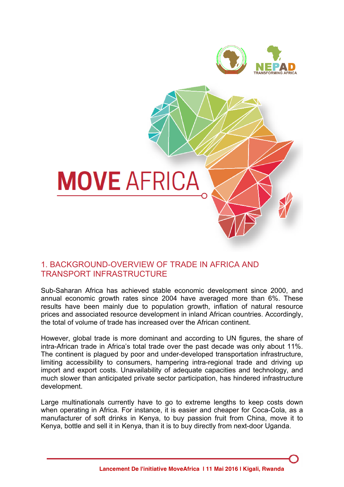



## 1. BACKGROUND-OVERVIEW OF TRADE IN AFRICA AND TRANSPORT INFRASTRUCTURE

Sub-Saharan Africa has achieved stable economic development since 2000, and annual economic growth rates since 2004 have averaged more than 6%. These results have been mainly due to population growth, inflation of natural resource prices and associated resource development in inland African countries. Accordingly, the total of volume of trade has increased over the African continent.

However, global trade is more dominant and according to UN figures, the share of intra-African trade in Africa's total trade over the past decade was only about 11%. The continent is plagued by poor and under-developed transportation infrastructure, limiting accessibility to consumers, hampering intra-regional trade and driving up import and export costs. Unavailability of adequate capacities and technology, and much slower than anticipated private sector participation, has hindered infrastructure development.

Large multinationals currently have to go to extreme lengths to keep costs down when operating in Africa. For instance, it is easier and cheaper for Coca-Cola, as a manufacturer of soft drinks in Kenya, to buy passion fruit from China, move it to Kenya, bottle and sell it in Kenya, than it is to buy directly from next-door Uganda.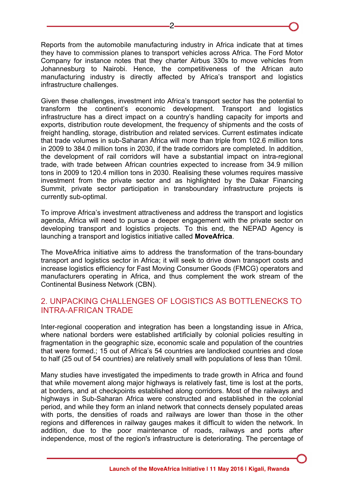Reports from the automobile manufacturing industry in Africa indicate that at times they have to commission planes to transport vehicles across Africa. The Ford Motor Company for instance notes that they charter Airbus 330s to move vehicles from Johannesburg to Nairobi. Hence, the competitiveness of the African auto manufacturing industry is directly affected by Africa's transport and logistics infrastructure challenges.

Given these challenges, investment into Africa's transport sector has the potential to transform the continent's economic development. Transport and logistics infrastructure has a direct impact on a country's handling capacity for imports and exports, distribution route development, the frequency of shipments and the costs of freight handling, storage, distribution and related services. Current estimates indicate that trade volumes in sub-Saharan Africa will more than triple from 102.6 million tons in 2009 to 384.0 million tons in 2030, if the trade corridors are completed. In addition, the development of rail corridors will have a substantial impact on intra-regional trade, with trade between African countries expected to increase from 34.9 million tons in 2009 to 120.4 million tons in 2030. Realising these volumes requires massive investment from the private sector and as highlighted by the Dakar Financing Summit, private sector participation in transboundary infrastructure projects is currently sub-optimal.

To improve Africa's investment attractiveness and address the transport and logistics agenda, Africa will need to pursue a deeper engagement with the private sector on developing transport and logistics projects. To this end, the NEPAD Agency is launching a transport and logistics initiative called **MoveAfrica**.

The MoveAfrica initiative aims to address the transformation of the trans-boundary transport and logistics sector in Africa; it will seek to drive down transport costs and increase logistics efficiency for Fast Moving Consumer Goods (FMCG) operators and manufacturers operating in Africa, and thus complement the work stream of the Continental Business Network (CBN).

## 2. UNPACKING CHALLENGES OF LOGISTICS AS BOTTLENECKS TO INTRA-AFRICAN TRADE

Inter-regional cooperation and integration has been a longstanding issue in Africa, where national borders were established artificially by colonial policies resulting in fragmentation in the geographic size, economic scale and population of the countries that were formed.; 15 out of Africa's 54 countries are landlocked countries and close to half (25 out of 54 countries) are relatively small with populations of less than 10mil.

Many studies have investigated the impediments to trade growth in Africa and found that while movement along major highways is relatively fast, time is lost at the ports, at borders, and at checkpoints established along corridors. Most of the railways and highways in Sub-Saharan Africa were constructed and established in the colonial period, and while they form an inland network that connects densely populated areas with ports, the densities of roads and railways are lower than those in the other regions and differences in railway gauges makes it difficult to widen the network. In addition, due to the poor maintenance of roads, railways and ports after independence, most of the region's infrastructure is deteriorating. The percentage of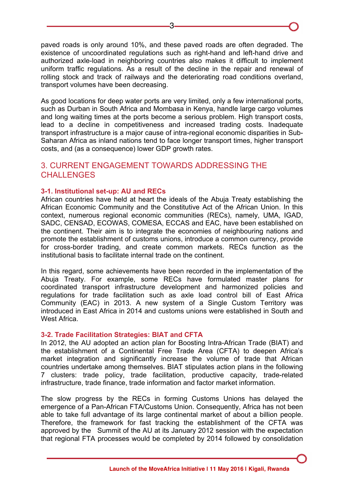paved roads is only around 10%, and these paved roads are often degraded. The existence of uncoordinated regulations such as right-hand and left-hand drive and authorized axle-load in neighboring countries also makes it difficult to implement uniform traffic regulations. As a result of the decline in the repair and renewal of rolling stock and track of railways and the deteriorating road conditions overland, transport volumes have been decreasing.

As good locations for deep water ports are very limited, only a few international ports, such as Durban in South Africa and Mombasa in Kenya, handle large cargo volumes and long waiting times at the ports become a serious problem. High transport costs, lead to a decline in competitiveness and increased trading costs. Inadequate transport infrastructure is a major cause of intra-regional economic disparities in Sub-Saharan Africa as inland nations tend to face longer transport times, higher transport costs, and (as a consequence) lower GDP growth rates.

### 3. CURRENT ENGAGEMENT TOWARDS ADDRESSING THE CHALL FNGES

#### **3-1. Institutional set-up: AU and RECs**

African countries have held at heart the ideals of the Abuja Treaty establishing the African Economic Community and the Constitutive Act of the African Union. In this context, numerous regional economic communities (RECs), namely, UMA, IGAD, SADC, CENSAD, ECOWAS, COMESA, ECCAS and EAC, have been established on the continent. Their aim is to integrate the economies of neighbouring nations and promote the establishment of customs unions, introduce a common currency, provide for cross-border trading, and create common markets. RECs function as the institutional basis to facilitate internal trade on the continent.

In this regard, some achievements have been recorded in the implementation of the Abuja Treaty. For example, some RECs have formulated master plans for coordinated transport infrastructure development and harmonized policies and regulations for trade facilitation such as axle load control bill of East Africa Community (EAC) in 2013. A new system of a Single Custom Territory was introduced in East Africa in 2014 and customs unions were established in South and West Africa.

#### **3-2. Trade Facilitation Strategies: BIAT and CFTA**

In 2012, the AU adopted an action plan for Boosting Intra-African Trade (BIAT) and the establishment of a Continental Free Trade Area (CFTA) to deepen Africa's market integration and significantly increase the volume of trade that African countries undertake among themselves. BIAT stipulates action plans in the following 7 clusters: trade policy, trade facilitation, productive capacity, trade-related infrastructure, trade finance, trade information and factor market information.

The slow progress by the RECs in forming Customs Unions has delayed the emergence of a Pan-African FTA/Customs Union. Consequently, Africa has not been able to take full advantage of its large continental market of about a billion people. Therefore, the framework for fast tracking the establishment of the CFTA was approved by the Summit of the AU at its January 2012 session with the expectation that regional FTA processes would be completed by 2014 followed by consolidation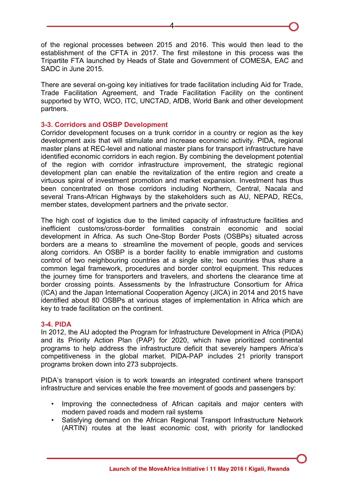of the regional processes between 2015 and 2016. This would then lead to the establishment of the CFTA in 2017. The first milestone in this process was the Tripartite FTA launched by Heads of State and Government of COMESA, EAC and SADC in June 2015.

There are several on-going key initiatives for trade facilitation including Aid for Trade, Trade Facilitation Agreement, and Trade Facilitation Facility on the continent supported by WTO, WCO, ITC, UNCTAD, AfDB, World Bank and other development partners.

### **3-3. Corridors and OSBP Development**

Corridor development focuses on a trunk corridor in a country or region as the key development axis that will stimulate and increase economic activity. PIDA, regional master plans at REC-level and national master plans for transport infrastructure have identified economic corridors in each region. By combining the development potential of the region with corridor infrastructure improvement, the strategic regional development plan can enable the revitalization of the entire region and create a virtuous spiral of investment promotion and market expansion. Investment has thus been concentrated on those corridors including Northern, Central, Nacala and several Trans-African Highways by the stakeholders such as AU, NEPAD, RECs, member states, development partners and the private sector.

The high cost of logistics due to the limited capacity of infrastructure facilities and inefficient customs/cross-border formalities constrain economic and social development in Africa. As such One-Stop Border Posts (OSBPs) situated across borders are a means to streamline the movement of people, goods and services along corridors. An OSBP is a border facility to enable immigration and customs control of two neighbouring countries at a single site; two countries thus share a common legal framework, procedures and border control equipment. This reduces the journey time for transporters and travelers, and shortens the clearance time at border crossing points. Assessments by the Infrastructure Consortium for Africa (ICA) and the Japan International Cooperation Agency (JICA) in 2014 and 2015 have identified about 80 OSBPs at various stages of implementation in Africa which are key to trade facilitation on the continent.

#### **3-4. PIDA**

In 2012, the AU adopted the Program for Infrastructure Development in Africa (PIDA) and its Priority Action Plan (PAP) for 2020, which have prioritized continental programs to help address the infrastructure deficit that severely hampers Africa's competitiveness in the global market. PIDA-PAP includes 21 priority transport programs broken down into 273 subprojects.

PIDA's transport vision is to work towards an integrated continent where transport infrastructure and services enable the free movement of goods and passengers by:

- Improving the connectedness of African capitals and major centers with modern paved roads and modern rail systems
- Satisfying demand on the African Regional Transport Infrastructure Network (ARTIN) routes at the least economic cost, with priority for landlocked

4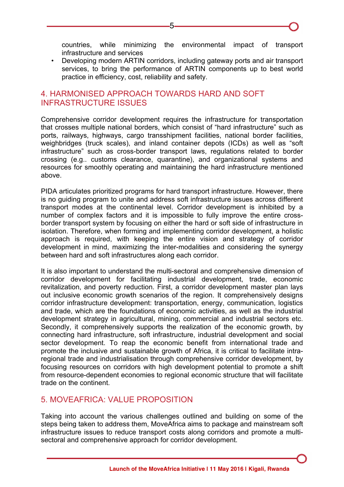countries, while minimizing the environmental impact of transport infrastructure and services

• Developing modern ARTIN corridors, including gateway ports and air transport services, to bring the performance of ARTIN components up to best world practice in efficiency, cost, reliability and safety.

# 4. HARMONISED APPROACH TOWARDS HARD AND SOFT INFRASTRUCTURE ISSUES

Comprehensive corridor development requires the infrastructure for transportation that crosses multiple national borders, which consist of "hard infrastructure" such as ports, railways, highways, cargo transshipment facilities, national border facilities, weighbridges (truck scales), and inland container depots (ICDs) as well as "soft infrastructure" such as cross-border transport laws, regulations related to border crossing (e.g.. customs clearance, quarantine), and organizational systems and resources for smoothly operating and maintaining the hard infrastructure mentioned above.

PIDA articulates prioritized programs for hard transport infrastructure. However, there is no guiding program to unite and address soft infrastructure issues across different transport modes at the continental level. Corridor development is inhibited by a number of complex factors and it is impossible to fully improve the entire crossborder transport system by focusing on either the hard or soft side of infrastructure in isolation. Therefore, when forming and implementing corridor development, a holistic approach is required, with keeping the entire vision and strategy of corridor development in mind, maximizing the inter-modalities and considering the synergy between hard and soft infrastructures along each corridor.

It is also important to understand the multi-sectoral and comprehensive dimension of corridor development for facilitating industrial development, trade, economic revitalization, and poverty reduction. First, a corridor development master plan lays out inclusive economic growth scenarios of the region. It comprehensively designs corridor infrastructure development: transportation, energy, communication, logistics and trade, which are the foundations of economic activities, as well as the industrial development strategy in agricultural, mining, commercial and industrial sectors etc. Secondly, it comprehensively supports the realization of the economic growth, by connecting hard infrastructure, soft infrastructure, industrial development and social sector development. To reap the economic benefit from international trade and promote the inclusive and sustainable growth of Africa, it is critical to facilitate intraregional trade and industrialisation through comprehensive corridor development, by focusing resources on corridors with high development potential to promote a shift from resource-dependent economies to regional economic structure that will facilitate trade on the continent.

# 5. MOVEAFRICA: VALUE PROPOSITION

Taking into account the various challenges outlined and building on some of the steps being taken to address them, MoveAfrica aims to package and mainstream soft infrastructure issues to reduce transport costs along corridors and promote a multisectoral and comprehensive approach for corridor development.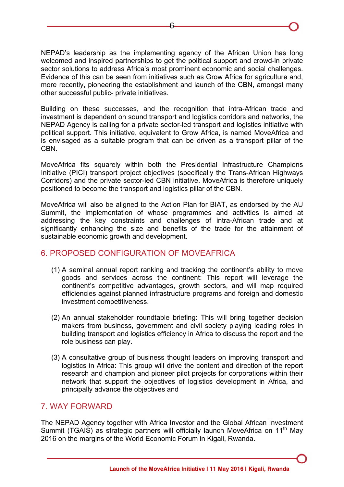NEPAD's leadership as the implementing agency of the African Union has long welcomed and inspired partnerships to get the political support and crowd-in private sector solutions to address Africa's most prominent economic and social challenges. Evidence of this can be seen from initiatives such as Grow Africa for agriculture and, more recently, pioneering the establishment and launch of the CBN, amongst many other successful public- private initiatives.

Building on these successes, and the recognition that intra-African trade and investment is dependent on sound transport and logistics corridors and networks, the NEPAD Agency is calling for a private sector-led transport and logistics initiative with political support. This initiative, equivalent to Grow Africa, is named MoveAfrica and is envisaged as a suitable program that can be driven as a transport pillar of the CBN.

MoveAfrica fits squarely within both the Presidential Infrastructure Champions Initiative (PICI) transport project objectives (specifically the Trans-African Highways Corridors) and the private sector-led CBN initiative. MoveAfrica is therefore uniquely positioned to become the transport and logistics pillar of the CBN.

MoveAfrica will also be aligned to the Action Plan for BIAT, as endorsed by the AU Summit, the implementation of whose programmes and activities is aimed at addressing the key constraints and challenges of intra-African trade and at significantly enhancing the size and benefits of the trade for the attainment of sustainable economic growth and development.

# 6. PROPOSED CONFIGURATION OF MOVEAFRICA

- (1) A seminal annual report ranking and tracking the continent's ability to move goods and services across the continent: This report will leverage the continent's competitive advantages, growth sectors, and will map required efficiencies against planned infrastructure programs and foreign and domestic investment competitiveness.
- (2) An annual stakeholder roundtable briefing: This will bring together decision makers from business, government and civil society playing leading roles in building transport and logistics efficiency in Africa to discuss the report and the role business can play.
- (3) A consultative group of business thought leaders on improving transport and logistics in Africa: This group will drive the content and direction of the report research and champion and pioneer pilot projects for corporations within their network that support the objectives of logistics development in Africa, and principally advance the objectives and

### 7. WAY FORWARD

The NEPAD Agency together with Africa Investor and the Global African Investment Summit (TGAIS) as strategic partners will officially launch MoveAfrica on 11<sup>th</sup> May 2016 on the margins of the World Economic Forum in Kigali, Rwanda.

6